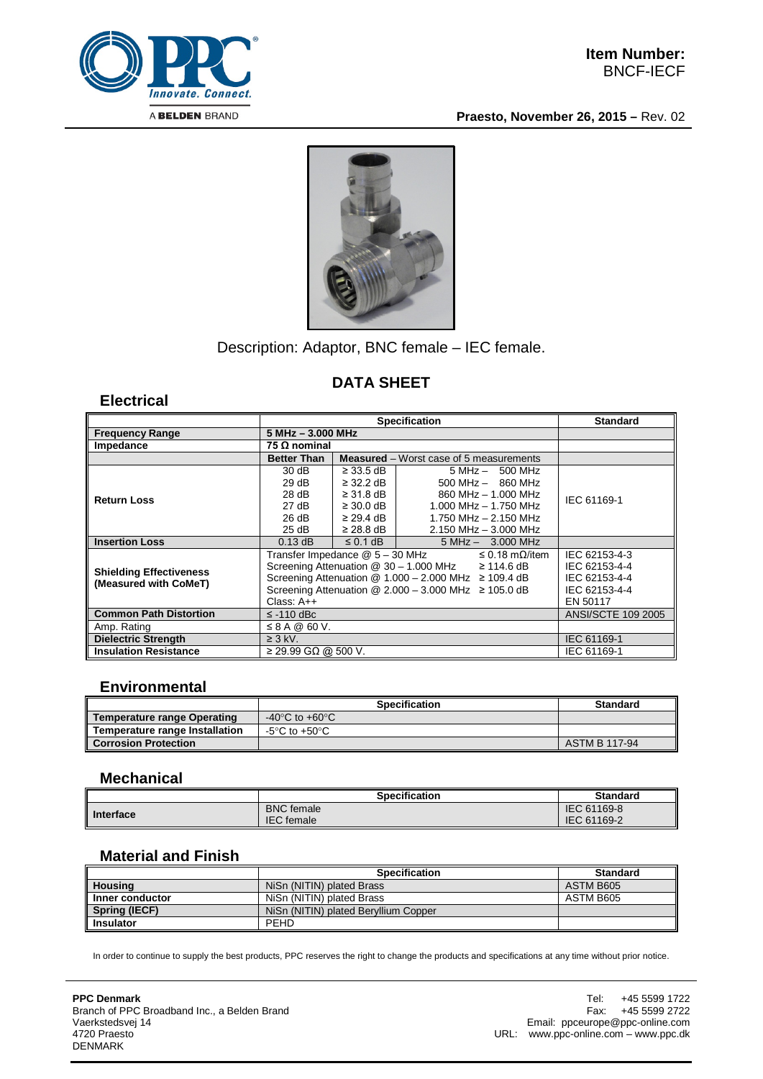

**Praesto, November 26, 2015 –** Rev. 02



# Description: Adaptor, BNC female – IEC female.

## **DATA SHEET**

#### **Electrical**

|                                                         | <b>Specification</b>                                                     |                |                           | <b>Standard</b>           |
|---------------------------------------------------------|--------------------------------------------------------------------------|----------------|---------------------------|---------------------------|
| <b>Frequency Range</b>                                  | $5 MHz - 3.000 MHz$                                                      |                |                           |                           |
| Impedance                                               | 75 Ω nominal                                                             |                |                           |                           |
|                                                         | <b>Better Than</b><br><b>Measured</b> – Worst case of 5 measurements     |                |                           |                           |
| <b>Return Loss</b>                                      | 30 dB                                                                    | $\geq$ 33.5 dB | $5 MHz - 500 MHz$         | IEC 61169-1               |
|                                                         | 29 dB                                                                    | $\geq$ 32.2 dB | $500$ MHz $-$ 860 MHz     |                           |
|                                                         | 28 dB                                                                    | $\geq$ 31.8 dB | 860 MHz - 1,000 MHz       |                           |
|                                                         | 27 dB                                                                    | $\geq$ 30.0 dB | $1.000$ MHz $- 1.750$ MHz |                           |
|                                                         | 26 dB                                                                    | $\geq$ 29.4 dB | 1.750 MHz - 2.150 MHz     |                           |
|                                                         | 25 dB                                                                    | $\geq$ 28.8 dB | $2.150$ MHz $-3.000$ MHz  |                           |
| <b>Insertion Loss</b>                                   | $0.13$ dB                                                                | $\leq$ 0.1 dB  | $5 MHz - 3.000 MHz$       |                           |
| <b>Shielding Effectiveness</b><br>(Measured with CoMeT) | Transfer Impedance @ 5 - 30 MHz<br>≤ 0.18 mΩ/item                        |                |                           | IEC 62153-4-3             |
|                                                         | Screening Attenuation $@$ 30 - 1.000 MHz $\geq$ 114.6 dB                 | IEC 62153-4-4  |                           |                           |
|                                                         | Screening Attenuation $@ 1.000 - 2.000 \text{ MHz} \ge 109.4 \text{ dB}$ | IEC 62153-4-4  |                           |                           |
|                                                         | Screening Attenuation $@$ 2.000 - 3.000 MHz $\geq$ 105.0 dB              | IEC 62153-4-4  |                           |                           |
|                                                         | Class: $A++$                                                             | EN 50117       |                           |                           |
| <b>Common Path Distortion</b>                           | $\le$ -110 dBc                                                           |                |                           | <b>ANSI/SCTE 109 2005</b> |
| Amp. Rating                                             | $\leq$ 8 A @ 60 V.                                                       |                |                           |                           |
| <b>Dielectric Strength</b>                              | $\geq$ 3 kV.                                                             | IEC 61169-1    |                           |                           |
| <b>Insulation Resistance</b>                            | $\geq$ 29.99 GΩ @ 500 V.                                                 |                |                           | IEC 61169-1               |

#### **Environmental**

|                                    | <b>Specification</b>                 | <b>Standard</b> |
|------------------------------------|--------------------------------------|-----------------|
| <b>Temperature range Operating</b> | -40 $^{\circ}$ C to +60 $^{\circ}$ C |                 |
| Temperature range Installation     | -5°C to +50°C                        |                 |
| <b>Corrosion Protection</b>        |                                      | ASTM B 117-94   |

#### **Mechanical**

|           | Specification     | <b>Standard</b> |
|-----------|-------------------|-----------------|
| Interface | <b>BNC</b> female | IEC 61169-8     |
|           | <b>IEC</b> female | IEC 61169-2     |

### **Material and Finish**

|                  | <b>Specification</b>                 | <b>Standard</b> |
|------------------|--------------------------------------|-----------------|
| <b>Housing</b>   | NiSn (NITIN) plated Brass            | ASTM B605       |
| Inner conductor  | NiSn (NITIN) plated Brass            | ASTM B605       |
| Spring (IECF)    | NiSn (NITIN) plated Beryllium Copper |                 |
| <b>Insulator</b> | PEHD                                 |                 |

In order to continue to supply the best products, PPC reserves the right to change the products and specifications at any time without prior notice.